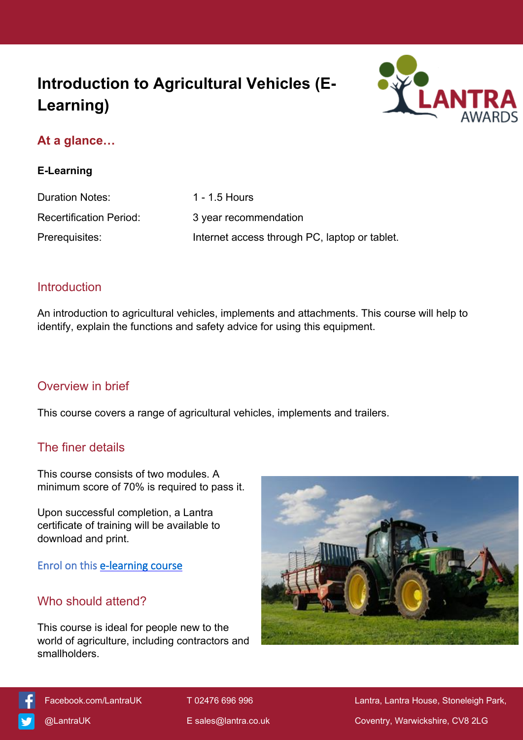# **Introduction to Agricultural Vehicles (E-Learning)**



## **At a glance…**

#### **E-Learning**

| <b>Duration Notes:</b>         | 1 - 1.5 Hours                                 |
|--------------------------------|-----------------------------------------------|
| <b>Recertification Period:</b> | 3 year recommendation                         |
| Prerequisites:                 | Internet access through PC, laptop or tablet. |

#### **Introduction**

An introduction to agricultural vehicles, implements and attachments. This course will help to identify, explain the functions and safety advice for using this equipment.

#### Overview in brief

This course covers a range of agricultural vehicles, implements and trailers.

## The finer details

This course consists of two modules. A minimum score of 70% is required to pass it.

Upon successful completion, a Lantra certificate of training will be available to download and print.

**Enrol on this [e-learning course](https://elearning.lantra.co.uk/search/29)**

## Who should attend?

This course is ideal for people new to the world of agriculture, including contractors and smallholders.





[Facebook.com/LantraUK](https://www.facebook.com/LantraUK/) T 02476 696 996 Lantra, Lantra, Lantra House, Stoneleigh Park, [@LantraUK](http://www.twitter.com/lantrauk) E [sales@lantra.co.uk](mailto:sales@lantra.co.uk) Coventry, Warwickshire, CV8 2LG